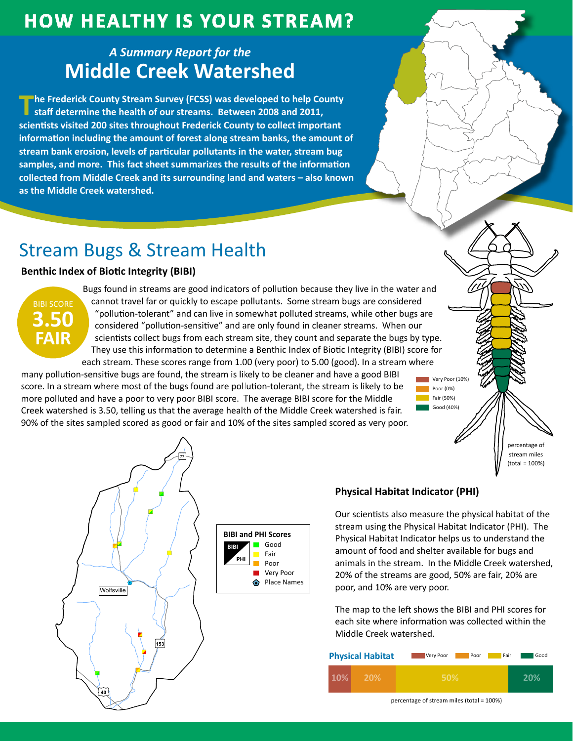## **How HealtHy is Your Stream?**

### *A Summary Report for the* **Middle Creek Watershed**

**The Frederick County Stream Survey (FCSS) was developed to help County <br><b>Staff determine the health of our streams.** Between 2008 and 2011, **scientists visited 200 sites throughout Frederick County to collect important information including the amount of forest along stream banks, the amount of stream bank erosion, levels of particular pollutants in the water, stream bug samples, and more. This fact sheet summarizes the results of the information collected from Middle Creek and its surrounding land and waters – also known as the Middle Creek watershed.**

# Stream Bugs & Stream Health

### **Benthic Index of Biotic Integrity (BIBI)**



Bugs found in streams are good indicators of pollution because they live in the water and cannot travel far or quickly to escape pollutants. Some stream bugs are considered "pollution-tolerant" and can live in somewhat polluted streams, while other bugs are considered "pollution-sensitive" and are only found in cleaner streams. When our scientists collect bugs from each stream site, they count and separate the bugs by type. They use this information to determine a Benthic Index of Biotic Integrity (BIBI) score for each stream. These scores range from 1.00 (very poor) to 5.00 (good). In a stream where

many pollution-sensitive bugs are found, the stream is likely to be cleaner and have a good BIBI score. In a stream where most of the bugs found are pollution-tolerant, the stream is likely to be more polluted and have a poor to very poor BIBI score. The average BIBI score for the Middle Creek watershed is 3.50, telling us that the average health of the Middle Creek watershed is fair. 90% of the sites sampled scored as good or fair and 10% of the sites sampled scored as very poor.





### **Physical Habitat Indicator (PHI)**

Our scientists also measure the physical habitat of the stream using the Physical Habitat Indicator (PHI). The Physical Habitat Indicator helps us to understand the amount of food and shelter available for bugs and animals in the stream. In the Middle Creek watershed, 20% of the streams are good, 50% are fair, 20% are poor, and 10% are very poor.

The map to the left shows the BIBI and PHI scores for each site where information was collected within the Middle Creek watershed.

| <b>Physical Habitat</b> | Very Poor<br>Poor | Good<br>Fair |
|-------------------------|-------------------|--------------|
| 10%<br>20%              | 50%               | 20%          |

percentage of stream miles (total = 100%)